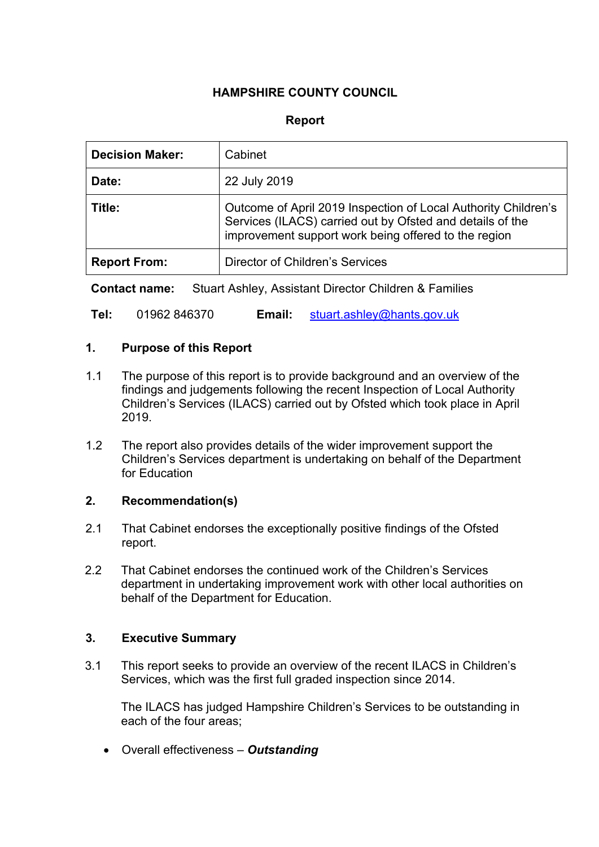# **HAMPSHIRE COUNTY COUNCIL**

### **Report**

| <b>Decision Maker:</b> | Cabinet                                                                                                                                                                             |
|------------------------|-------------------------------------------------------------------------------------------------------------------------------------------------------------------------------------|
| Date:                  | 22 July 2019                                                                                                                                                                        |
| Title:                 | Outcome of April 2019 Inspection of Local Authority Children's<br>Services (ILACS) carried out by Ofsted and details of the<br>improvement support work being offered to the region |
| <b>Report From:</b>    | Director of Children's Services                                                                                                                                                     |

**Contact name:** Stuart Ashley, Assistant Director Children & Families

**Tel:** 01962 846370 **Email:** [stuart.ashley@hants.gov.uk](mailto:stuart.ashley@hants.gov.uk)

### **1. Purpose of this Report**

- 1.1 The purpose of this report is to provide background and an overview of the findings and judgements following the recent Inspection of Local Authority Children's Services (ILACS) carried out by Ofsted which took place in April 2019.
- 1.2 The report also provides details of the wider improvement support the Children's Services department is undertaking on behalf of the Department for Education

#### **2. Recommendation(s)**

- 2.1 That Cabinet endorses the exceptionally positive findings of the Ofsted report.
- 2.2 That Cabinet endorses the continued work of the Children's Services department in undertaking improvement work with other local authorities on behalf of the Department for Education.

### **3. Executive Summary**

3.1 This report seeks to provide an overview of the recent ILACS in Children's Services, which was the first full graded inspection since 2014.

The ILACS has judged Hampshire Children's Services to be outstanding in each of the four areas;

Overall effectiveness – *Outstanding*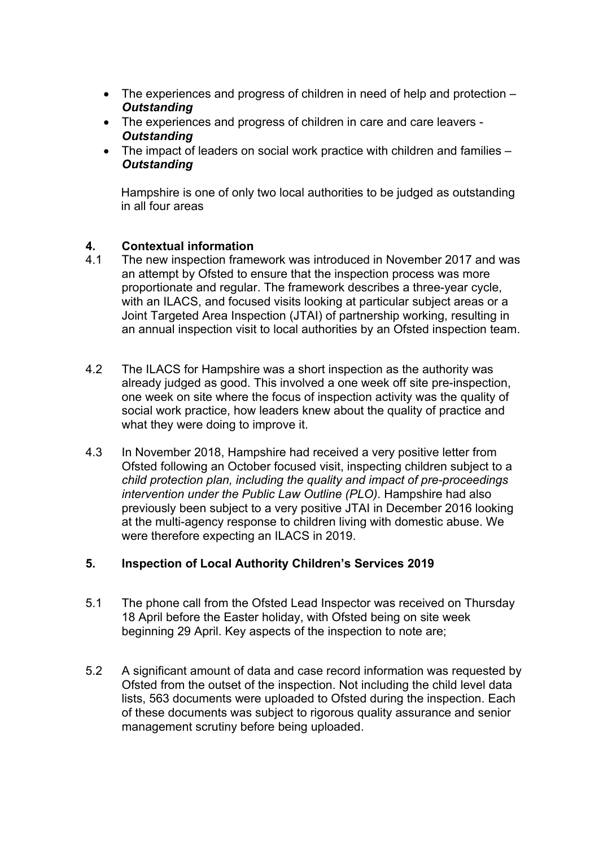- The experiences and progress of children in need of help and protection *Outstanding*
- The experiences and progress of children in care and care leavers *Outstanding*
- The impact of leaders on social work practice with children and families *Outstanding*

Hampshire is one of only two local authorities to be judged as outstanding in all four areas

### **4. Contextual information**

- 4.1 The new inspection framework was introduced in November 2017 and was an attempt by Ofsted to ensure that the inspection process was more proportionate and regular. The framework describes a three-year cycle, with an ILACS, and focused visits looking at particular subject areas or a Joint Targeted Area Inspection (JTAI) of partnership working, resulting in an annual inspection visit to local authorities by an Ofsted inspection team.
- 4.2 The ILACS for Hampshire was a short inspection as the authority was already judged as good. This involved a one week off site pre-inspection, one week on site where the focus of inspection activity was the quality of social work practice, how leaders knew about the quality of practice and what they were doing to improve it.
- 4.3 In November 2018, Hampshire had received a very positive letter from Ofsted following an October focused visit, inspecting children subject to a *child protection plan, including the quality and impact of pre-proceedings intervention under the Public Law Outline (PLO)*. Hampshire had also previously been subject to a very positive JTAI in December 2016 looking at the multi-agency response to children living with domestic abuse. We were therefore expecting an ILACS in 2019.

## **5. Inspection of Local Authority Children's Services 2019**

- 5.1 The phone call from the Ofsted Lead Inspector was received on Thursday 18 April before the Easter holiday, with Ofsted being on site week beginning 29 April. Key aspects of the inspection to note are;
- 5.2 A significant amount of data and case record information was requested by Ofsted from the outset of the inspection. Not including the child level data lists, 563 documents were uploaded to Ofsted during the inspection. Each of these documents was subject to rigorous quality assurance and senior management scrutiny before being uploaded.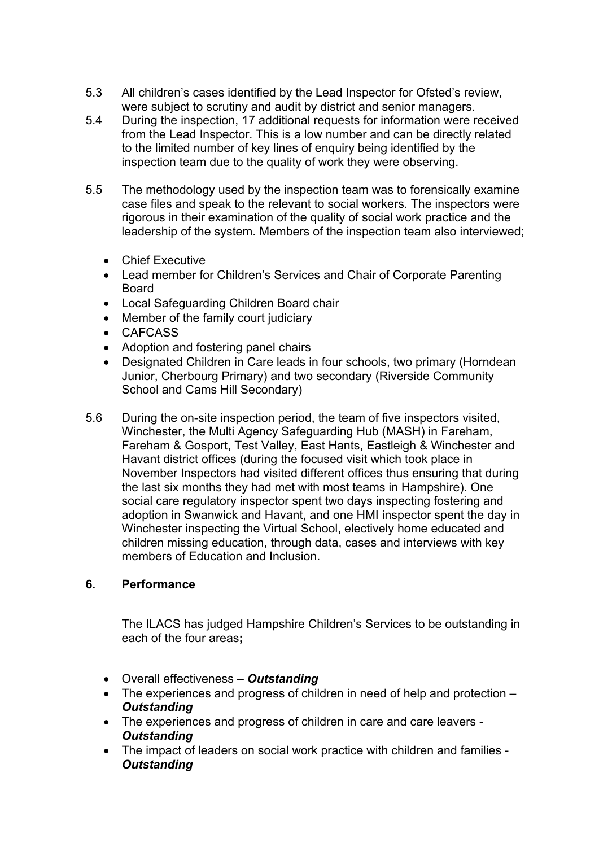- 5.3 All children's cases identified by the Lead Inspector for Ofsted's review, were subject to scrutiny and audit by district and senior managers.
- 5.4 During the inspection, 17 additional requests for information were received from the Lead Inspector. This is a low number and can be directly related to the limited number of key lines of enquiry being identified by the inspection team due to the quality of work they were observing.
- 5.5 The methodology used by the inspection team was to forensically examine case files and speak to the relevant to social workers. The inspectors were rigorous in their examination of the quality of social work practice and the leadership of the system. Members of the inspection team also interviewed;
	- Chief Executive
	- Lead member for Children's Services and Chair of Corporate Parenting **Board**
	- Local Safeguarding Children Board chair
	- Member of the family court judiciary
	- CAFCASS
	- Adoption and fostering panel chairs
	- Designated Children in Care leads in four schools, two primary (Horndean Junior, Cherbourg Primary) and two secondary (Riverside Community School and Cams Hill Secondary)
- 5.6 During the on-site inspection period, the team of five inspectors visited, Winchester, the Multi Agency Safeguarding Hub (MASH) in Fareham, Fareham & Gosport, Test Valley, East Hants, Eastleigh & Winchester and Havant district offices (during the focused visit which took place in November Inspectors had visited different offices thus ensuring that during the last six months they had met with most teams in Hampshire). One social care regulatory inspector spent two days inspecting fostering and adoption in Swanwick and Havant, and one HMI inspector spent the day in Winchester inspecting the Virtual School, electively home educated and children missing education, through data, cases and interviews with key members of Education and Inclusion.

## **6. Performance**

The ILACS has judged Hampshire Children's Services to be outstanding in each of the four areas**;**

- Overall effectiveness *Outstanding*
- The experiences and progress of children in need of help and protection *Outstanding*
- The experiences and progress of children in care and care leavers *Outstanding*
- The impact of leaders on social work practice with children and families *Outstanding*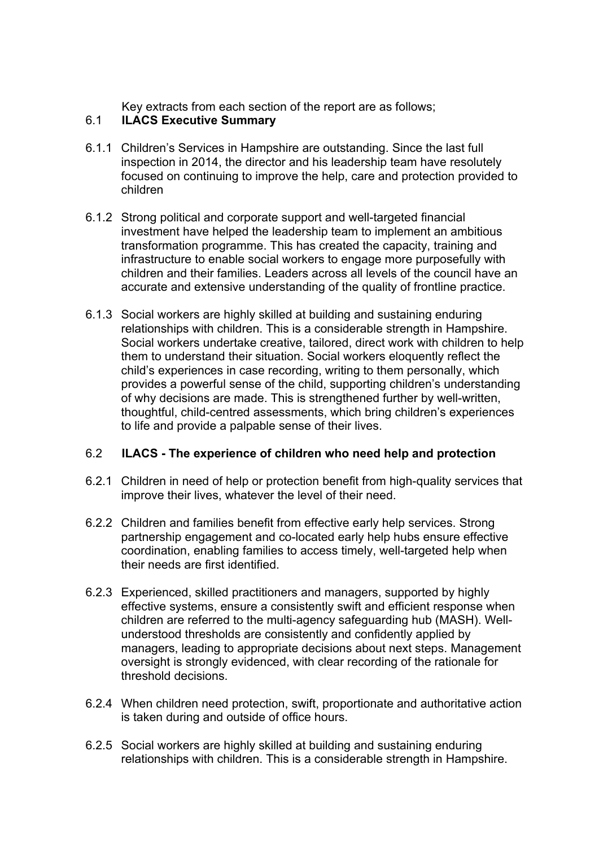Key extracts from each section of the report are as follows;

# 6.1 **ILACS Executive Summary**

- 6.1.1 Children's Services in Hampshire are outstanding. Since the last full inspection in 2014, the director and his leadership team have resolutely focused on continuing to improve the help, care and protection provided to children
- 6.1.2 Strong political and corporate support and well-targeted financial investment have helped the leadership team to implement an ambitious transformation programme. This has created the capacity, training and infrastructure to enable social workers to engage more purposefully with children and their families. Leaders across all levels of the council have an accurate and extensive understanding of the quality of frontline practice.
- 6.1.3 Social workers are highly skilled at building and sustaining enduring relationships with children. This is a considerable strength in Hampshire. Social workers undertake creative, tailored, direct work with children to help them to understand their situation. Social workers eloquently reflect the child's experiences in case recording, writing to them personally, which provides a powerful sense of the child, supporting children's understanding of why decisions are made. This is strengthened further by well-written, thoughtful, child-centred assessments, which bring children's experiences to life and provide a palpable sense of their lives.

## 6.2 **ILACS - The experience of children who need help and protection**

- 6.2.1 Children in need of help or protection benefit from high-quality services that improve their lives, whatever the level of their need.
- 6.2.2 Children and families benefit from effective early help services. Strong partnership engagement and co-located early help hubs ensure effective coordination, enabling families to access timely, well-targeted help when their needs are first identified.
- 6.2.3 Experienced, skilled practitioners and managers, supported by highly effective systems, ensure a consistently swift and efficient response when children are referred to the multi-agency safeguarding hub (MASH). Wellunderstood thresholds are consistently and confidently applied by managers, leading to appropriate decisions about next steps. Management oversight is strongly evidenced, with clear recording of the rationale for threshold decisions.
- 6.2.4 When children need protection, swift, proportionate and authoritative action is taken during and outside of office hours.
- 6.2.5 Social workers are highly skilled at building and sustaining enduring relationships with children. This is a considerable strength in Hampshire.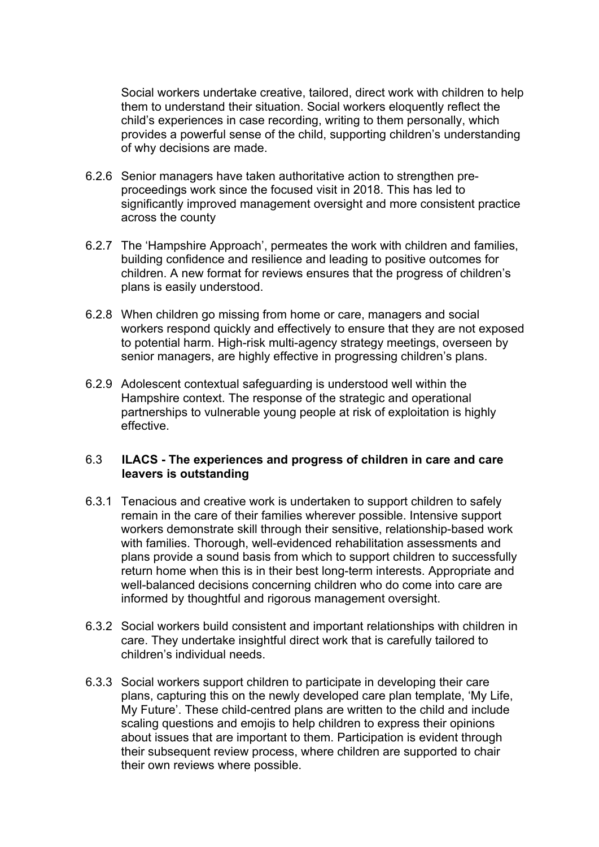Social workers undertake creative, tailored, direct work with children to help them to understand their situation. Social workers eloquently reflect the child's experiences in case recording, writing to them personally, which provides a powerful sense of the child, supporting children's understanding of why decisions are made.

- 6.2.6 Senior managers have taken authoritative action to strengthen preproceedings work since the focused visit in 2018. This has led to significantly improved management oversight and more consistent practice across the county
- 6.2.7 The 'Hampshire Approach', permeates the work with children and families, building confidence and resilience and leading to positive outcomes for children. A new format for reviews ensures that the progress of children's plans is easily understood.
- 6.2.8 When children go missing from home or care, managers and social workers respond quickly and effectively to ensure that they are not exposed to potential harm. High-risk multi-agency strategy meetings, overseen by senior managers, are highly effective in progressing children's plans.
- 6.2.9 Adolescent contextual safeguarding is understood well within the Hampshire context. The response of the strategic and operational partnerships to vulnerable young people at risk of exploitation is highly effective.

#### 6.3 **ILACS - The experiences and progress of children in care and care leavers is outstanding**

- 6.3.1 Tenacious and creative work is undertaken to support children to safely remain in the care of their families wherever possible. Intensive support workers demonstrate skill through their sensitive, relationship-based work with families. Thorough, well-evidenced rehabilitation assessments and plans provide a sound basis from which to support children to successfully return home when this is in their best long-term interests. Appropriate and well-balanced decisions concerning children who do come into care are informed by thoughtful and rigorous management oversight.
- 6.3.2 Social workers build consistent and important relationships with children in care. They undertake insightful direct work that is carefully tailored to children's individual needs.
- 6.3.3 Social workers support children to participate in developing their care plans, capturing this on the newly developed care plan template, 'My Life, My Future'. These child-centred plans are written to the child and include scaling questions and emojis to help children to express their opinions about issues that are important to them. Participation is evident through their subsequent review process, where children are supported to chair their own reviews where possible.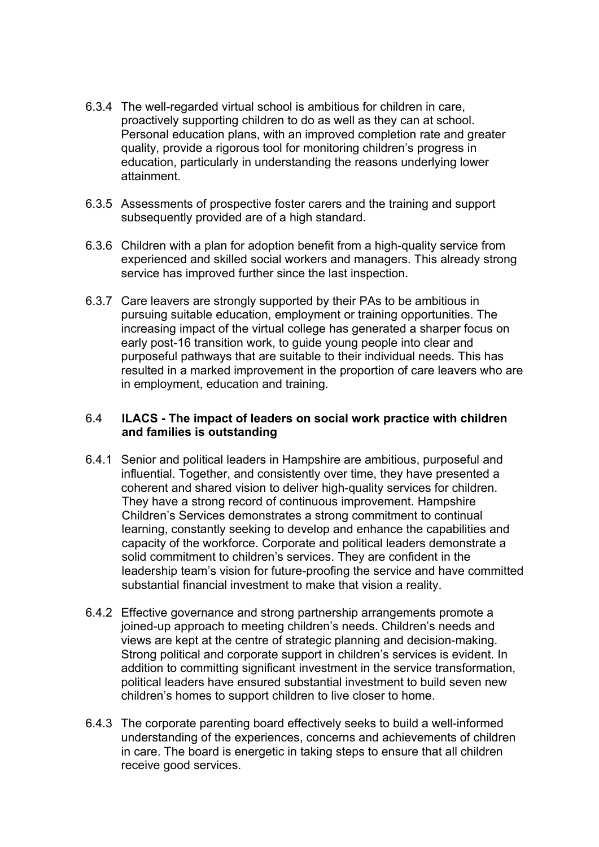- 6.3.4 The well-regarded virtual school is ambitious for children in care, proactively supporting children to do as well as they can at school. Personal education plans, with an improved completion rate and greater quality, provide a rigorous tool for monitoring children's progress in education, particularly in understanding the reasons underlying lower attainment.
- 6.3.5 Assessments of prospective foster carers and the training and support subsequently provided are of a high standard.
- 6.3.6 Children with a plan for adoption benefit from a high-quality service from experienced and skilled social workers and managers. This already strong service has improved further since the last inspection.
- 6.3.7 Care leavers are strongly supported by their PAs to be ambitious in pursuing suitable education, employment or training opportunities. The increasing impact of the virtual college has generated a sharper focus on early post-16 transition work, to guide young people into clear and purposeful pathways that are suitable to their individual needs. This has resulted in a marked improvement in the proportion of care leavers who are in employment, education and training.

### 6.4 **ILACS - The impact of leaders on social work practice with children and families is outstanding**

- 6.4.1 Senior and political leaders in Hampshire are ambitious, purposeful and influential. Together, and consistently over time, they have presented a coherent and shared vision to deliver high-quality services for children. They have a strong record of continuous improvement. Hampshire Children's Services demonstrates a strong commitment to continual learning, constantly seeking to develop and enhance the capabilities and capacity of the workforce. Corporate and political leaders demonstrate a solid commitment to children's services. They are confident in the leadership team's vision for future-proofing the service and have committed substantial financial investment to make that vision a reality.
- 6.4.2 Effective governance and strong partnership arrangements promote a joined-up approach to meeting children's needs. Children's needs and views are kept at the centre of strategic planning and decision-making. Strong political and corporate support in children's services is evident. In addition to committing significant investment in the service transformation. political leaders have ensured substantial investment to build seven new children's homes to support children to live closer to home.
- 6.4.3 The corporate parenting board effectively seeks to build a well-informed understanding of the experiences, concerns and achievements of children in care. The board is energetic in taking steps to ensure that all children receive good services.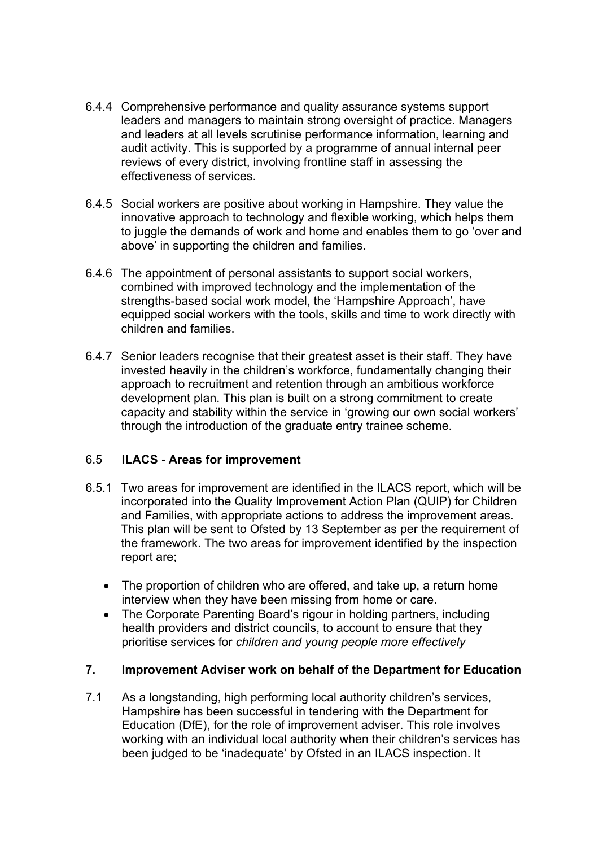- 6.4.4 Comprehensive performance and quality assurance systems support leaders and managers to maintain strong oversight of practice. Managers and leaders at all levels scrutinise performance information, learning and audit activity. This is supported by a programme of annual internal peer reviews of every district, involving frontline staff in assessing the effectiveness of services.
- 6.4.5 Social workers are positive about working in Hampshire. They value the innovative approach to technology and flexible working, which helps them to juggle the demands of work and home and enables them to go 'over and above' in supporting the children and families.
- 6.4.6 The appointment of personal assistants to support social workers, combined with improved technology and the implementation of the strengths-based social work model, the 'Hampshire Approach', have equipped social workers with the tools, skills and time to work directly with children and families.
- 6.4.7 Senior leaders recognise that their greatest asset is their staff. They have invested heavily in the children's workforce, fundamentally changing their approach to recruitment and retention through an ambitious workforce development plan. This plan is built on a strong commitment to create capacity and stability within the service in 'growing our own social workers' through the introduction of the graduate entry trainee scheme.

## 6.5 **ILACS - Areas for improvement**

- 6.5.1 Two areas for improvement are identified in the ILACS report, which will be incorporated into the Quality Improvement Action Plan (QUIP) for Children and Families, with appropriate actions to address the improvement areas. This plan will be sent to Ofsted by 13 September as per the requirement of the framework. The two areas for improvement identified by the inspection report are;
	- The proportion of children who are offered, and take up, a return home interview when they have been missing from home or care.
	- The Corporate Parenting Board's rigour in holding partners, including health providers and district councils, to account to ensure that they prioritise services for *children and young people more effectively*

#### **7. Improvement Adviser work on behalf of the Department for Education**

7.1 As a longstanding, high performing local authority children's services, Hampshire has been successful in tendering with the Department for Education (DfE), for the role of improvement adviser. This role involves working with an individual local authority when their children's services has been judged to be 'inadequate' by Ofsted in an ILACS inspection. It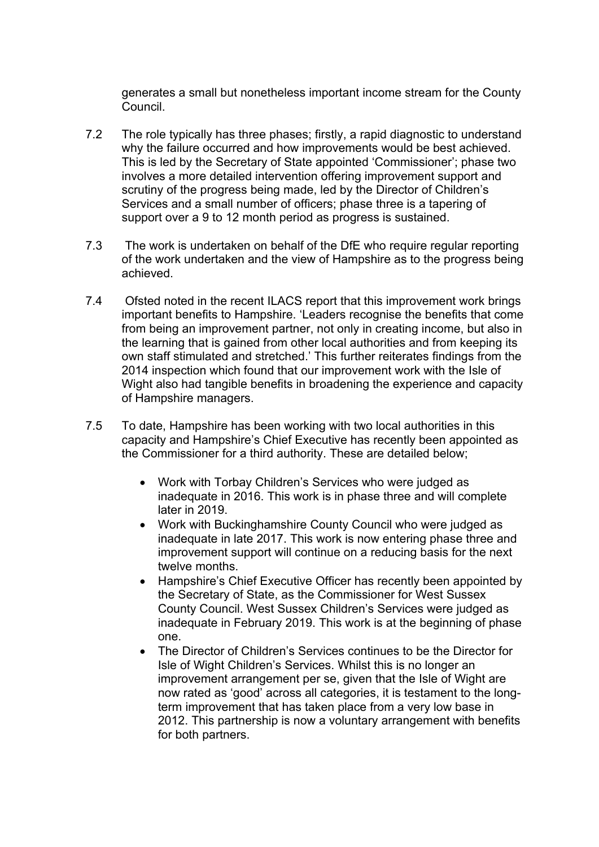generates a small but nonetheless important income stream for the County Council.

- 7.2 The role typically has three phases; firstly, a rapid diagnostic to understand why the failure occurred and how improvements would be best achieved. This is led by the Secretary of State appointed 'Commissioner'; phase two involves a more detailed intervention offering improvement support and scrutiny of the progress being made, led by the Director of Children's Services and a small number of officers; phase three is a tapering of support over a 9 to 12 month period as progress is sustained.
- 7.3 The work is undertaken on behalf of the DfE who require regular reporting of the work undertaken and the view of Hampshire as to the progress being achieved.
- 7.4 Ofsted noted in the recent ILACS report that this improvement work brings important benefits to Hampshire. 'Leaders recognise the benefits that come from being an improvement partner, not only in creating income, but also in the learning that is gained from other local authorities and from keeping its own staff stimulated and stretched.' This further reiterates findings from the 2014 inspection which found that our improvement work with the Isle of Wight also had tangible benefits in broadening the experience and capacity of Hampshire managers.
- 7.5 To date, Hampshire has been working with two local authorities in this capacity and Hampshire's Chief Executive has recently been appointed as the Commissioner for a third authority. These are detailed below;
	- Work with Torbay Children's Services who were judged as inadequate in 2016. This work is in phase three and will complete later in 2019.
	- Work with Buckinghamshire County Council who were judged as inadequate in late 2017. This work is now entering phase three and improvement support will continue on a reducing basis for the next twelve months.
	- Hampshire's Chief Executive Officer has recently been appointed by the Secretary of State, as the Commissioner for West Sussex County Council. West Sussex Children's Services were judged as inadequate in February 2019. This work is at the beginning of phase one.
	- The Director of Children's Services continues to be the Director for Isle of Wight Children's Services. Whilst this is no longer an improvement arrangement per se, given that the Isle of Wight are now rated as 'good' across all categories, it is testament to the longterm improvement that has taken place from a very low base in 2012. This partnership is now a voluntary arrangement with benefits for both partners.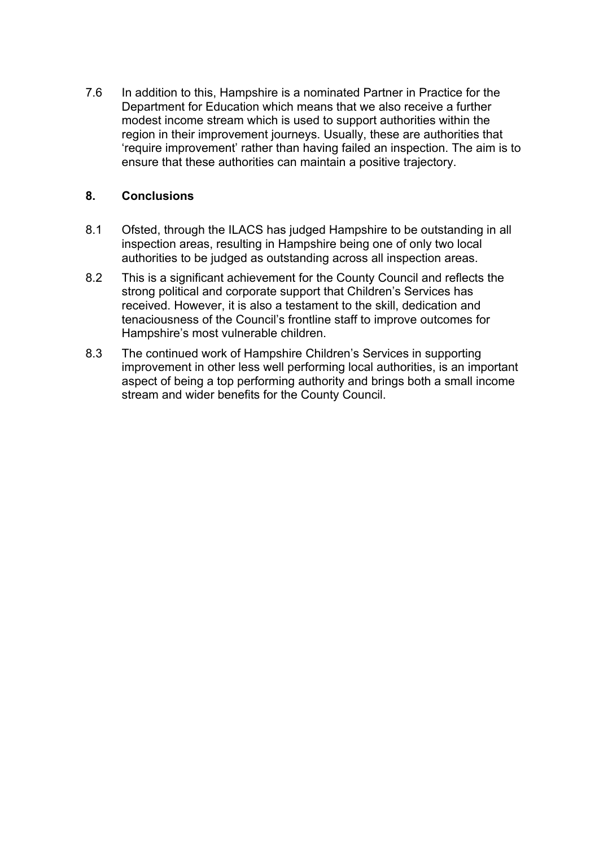7.6 In addition to this, Hampshire is a nominated Partner in Practice for the Department for Education which means that we also receive a further modest income stream which is used to support authorities within the region in their improvement journeys. Usually, these are authorities that 'require improvement' rather than having failed an inspection. The aim is to ensure that these authorities can maintain a positive trajectory.

## **8. Conclusions**

- 8.1 Ofsted, through the ILACS has judged Hampshire to be outstanding in all inspection areas, resulting in Hampshire being one of only two local authorities to be judged as outstanding across all inspection areas.
- 8.2 This is a significant achievement for the County Council and reflects the strong political and corporate support that Children's Services has received. However, it is also a testament to the skill, dedication and tenaciousness of the Council's frontline staff to improve outcomes for Hampshire's most vulnerable children.
- 8.3 The continued work of Hampshire Children's Services in supporting improvement in other less well performing local authorities, is an important aspect of being a top performing authority and brings both a small income stream and wider benefits for the County Council.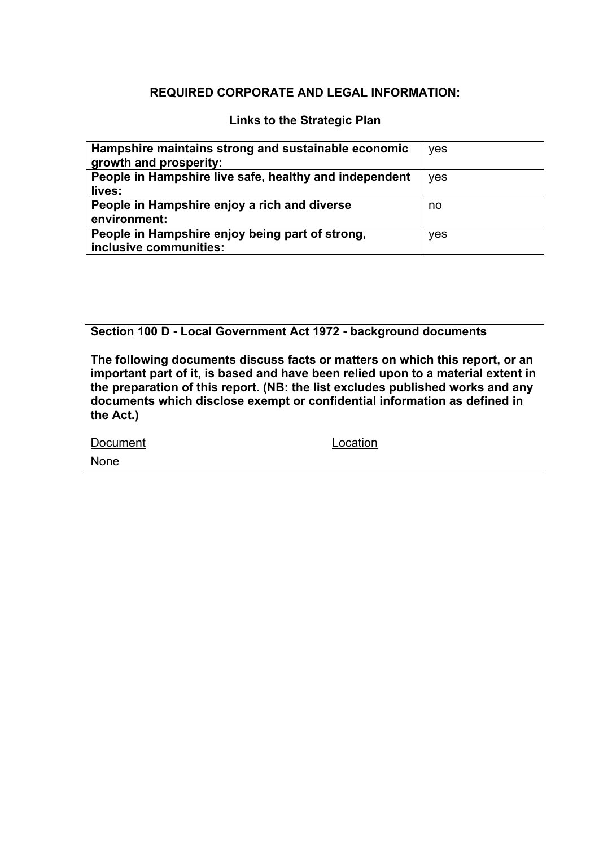### **REQUIRED CORPORATE AND LEGAL INFORMATION:**

#### **Links to the Strategic Plan**

| Hampshire maintains strong and sustainable economic<br>growth and prosperity: | yes |
|-------------------------------------------------------------------------------|-----|
| People in Hampshire live safe, healthy and independent<br>lives:              | yes |
| People in Hampshire enjoy a rich and diverse<br>environment:                  | no  |
| People in Hampshire enjoy being part of strong,<br>inclusive communities:     | yes |

**Section 100 D - Local Government Act 1972 - background documents**

**The following documents discuss facts or matters on which this report, or an important part of it, is based and have been relied upon to a material extent in the preparation of this report. (NB: the list excludes published works and any documents which disclose exempt or confidential information as defined in the Act.)**

Document Location None